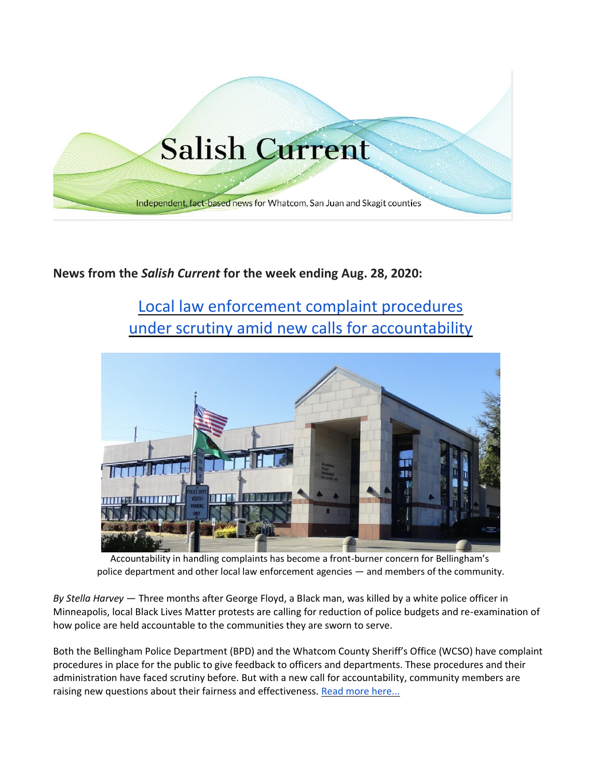

## **News from the** *Salish Current* **for the week ending Aug. 28, 2020:**

# [Local law enforcement complaint procedures](https://salish-current.org/2020/08/24/local-law-enforcement-complaint-procedures-under-scrutiny-amid-new-calls-for-accountability/) [under scrutiny amid new calls for accountability](https://salish-current.org/2020/08/24/local-law-enforcement-complaint-procedures-under-scrutiny-amid-new-calls-for-accountability/)



Accountability in handling complaints has become a front-burner concern for Bellingham's police department and other local law enforcement agencies — and members of the community.

*By Stella Harvey* — Three months after George Floyd, a Black man, was killed by a white police officer in Minneapolis, local Black Lives Matter protests are calling for reduction of police budgets and re-examination of how police are held accountable to the communities they are sworn to serve.

Both the Bellingham Police Department (BPD) and the Whatcom County Sheriff's Office (WCSO) have complaint procedures in place for the public to give feedback to officers and departments. These procedures and their administration have faced scrutiny before. But with a new call for accountability, community members are raising new questions about their fairness and effectiveness. [Read more here...](https://salish-current.org/2020/08/24/local-law-enforcement-complaint-procedures-under-scrutiny-amid-new-calls-for-accountability/)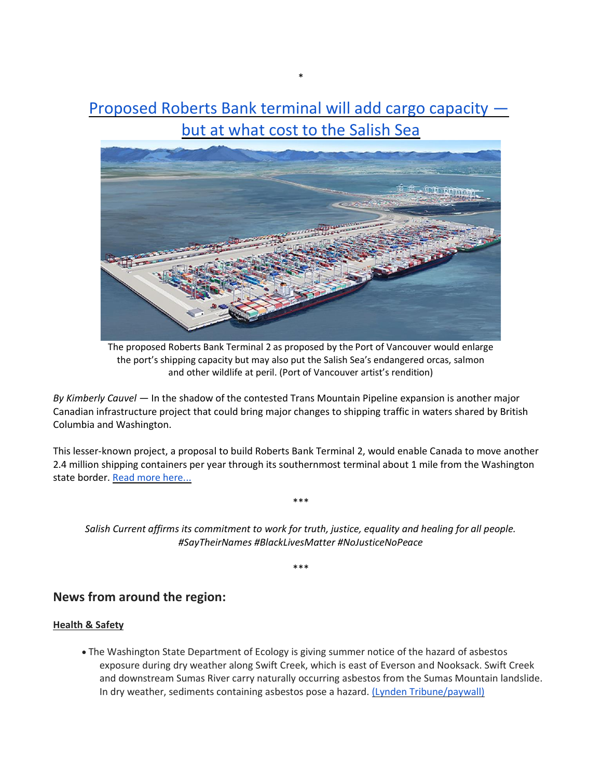[Proposed Roberts Bank terminal will add cargo capacity](https://salish-current.org/2020/08/25/proposed-roberts-bank-terminal-will-add-cargo-capacity-but-at-what-cost-to-salish-sea/)  [but at what cost to the Salish Sea](https://salish-current.org/2020/08/25/proposed-roberts-bank-terminal-will-add-cargo-capacity-but-at-what-cost-to-salish-sea/)

\*



The proposed Roberts Bank Terminal 2 as proposed by the Port of Vancouver would enlarge the port's shipping capacity but may also put the Salish Sea's endangered orcas, salmon and other wildlife at peril. (Port of Vancouver artist's rendition)

*By Kimberly Cauvel* — In the shadow of the contested Trans Mountain Pipeline expansion is another major Canadian infrastructure project that could bring major changes to shipping traffic in waters shared by British Columbia and Washington.

This lesser-known project, a proposal to build Roberts Bank Terminal 2, would enable Canada to move another 2.4 million shipping containers per year through its southernmost terminal about 1 mile from the Washington state border. [Read more here...](https://salish-current.org/2020/08/25/proposed-roberts-bank-terminal-will-add-cargo-capacity-but-at-what-cost-to-salish-sea/)

*Salish Current affirms its commitment to work for truth, justice, equality and healing for all people. #SayTheirNames #BlackLivesMatter #NoJusticeNoPeace*

\*\*\*

\*\*\*

### **News from around the region:**

#### **Health & Safety**

• The Washington State Department of Ecology is giving summer notice of the hazard of asbestos exposure during dry weather along Swift Creek, which is east of Everson and Nooksack. Swift Creek and downstream Sumas River carry naturally occurring asbestos from the Sumas Mountain landslide. In dry weather, sediments containing asbestos pose a hazard. [\(Lynden Tribune/paywall\)](https://www.lyndentribune.com/news/ecology-warns-of-dry-sediment-asbestos-risk-along-swift-creek/article_9c74abb8-e72a-11ea-9e24-57d6dddf6ed3.html)